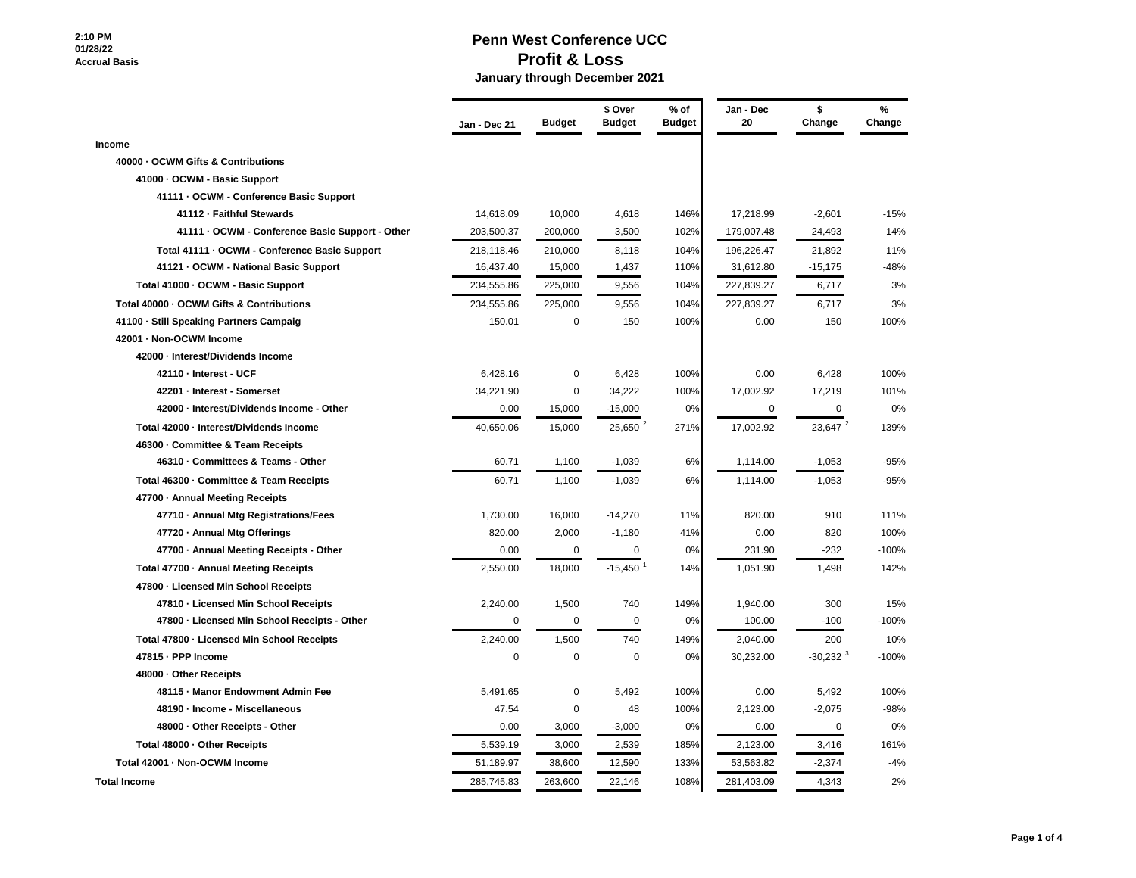## **2:10 PM 01/28/22 Accrual Basis**

|                                                 | Jan - Dec 21 | <b>Budget</b> | \$ Over<br><b>Budget</b> | $%$ of<br><b>Budget</b> | Jan - Dec<br>20 | \$<br>Change           | $\%$<br>Change |
|-------------------------------------------------|--------------|---------------|--------------------------|-------------------------|-----------------|------------------------|----------------|
| Income                                          |              |               |                          |                         |                 |                        |                |
| 40000 - OCWM Gifts & Contributions              |              |               |                          |                         |                 |                        |                |
| 41000 - OCWM - Basic Support                    |              |               |                          |                         |                 |                        |                |
| 41111 - OCWM - Conference Basic Support         |              |               |                          |                         |                 |                        |                |
| 41112 - Faithful Stewards                       | 14,618.09    | 10,000        | 4,618                    | 146%                    | 17,218.99       | $-2,601$               | $-15%$         |
| 41111 - OCWM - Conference Basic Support - Other | 203,500.37   | 200,000       | 3,500                    | 102%                    | 179,007.48      | 24,493                 | 14%            |
| Total 41111 · OCWM - Conference Basic Support   | 218,118.46   | 210,000       | 8,118                    | 104%                    | 196,226.47      | 21,892                 | 11%            |
| 41121 - OCWM - National Basic Support           | 16,437.40    | 15,000        | 1,437                    | 110%                    | 31,612.80       | $-15,175$              | -48%           |
| Total 41000 - OCWM - Basic Support              | 234,555.86   | 225,000       | 9,556                    | 104%                    | 227,839.27      | 6,717                  | 3%             |
| Total 40000 - OCWM Gifts & Contributions        | 234,555.86   | 225,000       | 9,556                    | 104%                    | 227,839.27      | 6,717                  | 3%             |
| 41100 - Still Speaking Partners Campaig         | 150.01       | $\mathbf 0$   | 150                      | 100%                    | 0.00            | 150                    | 100%           |
| 42001 - Non-OCWM Income                         |              |               |                          |                         |                 |                        |                |
| 42000 - Interest/Dividends Income               |              |               |                          |                         |                 |                        |                |
| 42110 - Interest - UCF                          | 6,428.16     | 0             | 6,428                    | 100%                    | 0.00            | 6,428                  | 100%           |
| 42201 - Interest - Somerset                     | 34,221.90    | $\mathbf 0$   | 34,222                   | 100%                    | 17,002.92       | 17,219                 | 101%           |
| 42000 - Interest/Dividends Income - Other       | 0.00         | 15,000        | $-15,000$                | 0%                      | $\mathbf 0$     | $\mathbf 0$            | 0%             |
| Total 42000 - Interest/Dividends Income         | 40,650.06    | 15,000        | 25,650 $2$               | 271%                    | 17,002.92       | 23,647 <sup>2</sup>    | 139%           |
| 46300 Committee & Team Receipts                 |              |               |                          |                         |                 |                        |                |
| 46310 Committees & Teams - Other                | 60.71        | 1,100         | $-1,039$                 | 6%                      | 1,114.00        | $-1,053$               | $-95%$         |
| Total 46300 Committee & Team Receipts           | 60.71        | 1,100         | $-1,039$                 | 6%                      | 1,114.00        | $-1,053$               | -95%           |
| 47700 - Annual Meeting Receipts                 |              |               |                          |                         |                 |                        |                |
| 47710 - Annual Mtg Registrations/Fees           | 1,730.00     | 16,000        | $-14,270$                | 11%                     | 820.00          | 910                    | 111%           |
| 47720 - Annual Mtg Offerings                    | 820.00       | 2,000         | $-1,180$                 | 41%                     | 0.00            | 820                    | 100%           |
| 47700 - Annual Meeting Receipts - Other         | 0.00         | $\mathbf 0$   | 0                        | 0%                      | 231.90          | $-232$                 | $-100%$        |
| Total 47700 - Annual Meeting Receipts           | 2,550.00     | 18,000        | $-15,450$                | 14%                     | 1,051.90        | 1,498                  | 142%           |
| 47800 - Licensed Min School Receipts            |              |               |                          |                         |                 |                        |                |
| 47810 - Licensed Min School Receipts            | 2,240.00     | 1,500         | 740                      | 149%                    | 1,940.00        | 300                    | 15%            |
| 47800 - Licensed Min School Receipts - Other    | 0            | $\mathbf 0$   | $\mathbf 0$              | 0%                      | 100.00          | $-100$                 | $-100%$        |
| Total 47800 - Licensed Min School Receipts      | 2,240.00     | 1,500         | 740                      | 149%                    | 2,040.00        | 200                    | 10%            |
| 47815 - PPP Income                              | $\mathbf 0$  | $\mathbf 0$   | $\mathbf 0$              | 0%                      | 30,232.00       | $-30,232$ <sup>3</sup> | $-100%$        |
| 48000 - Other Receipts                          |              |               |                          |                         |                 |                        |                |
| 48115 - Manor Endowment Admin Fee               | 5,491.65     | 0             | 5,492                    | 100%                    | 0.00            | 5,492                  | 100%           |
| 48190 - Income - Miscellaneous                  | 47.54        | 0             | 48                       | 100%                    | 2,123.00        | $-2,075$               | $-98%$         |
| 48000 - Other Receipts - Other                  | 0.00         | 3,000         | $-3,000$                 | 0%                      | 0.00            | $\mathbf 0$            | 0%             |
| Total 48000 - Other Receipts                    | 5,539.19     | 3,000         | 2,539                    | 185%                    | 2,123.00        | 3,416                  | 161%           |
| Total 42001 - Non-OCWM Income                   | 51,189.97    | 38,600        | 12,590                   | 133%                    | 53,563.82       | $-2,374$               | $-4%$          |
| <b>Total Income</b>                             | 285,745.83   | 263,600       | 22,146                   | 108%                    | 281,403.09      | 4,343                  | 2%             |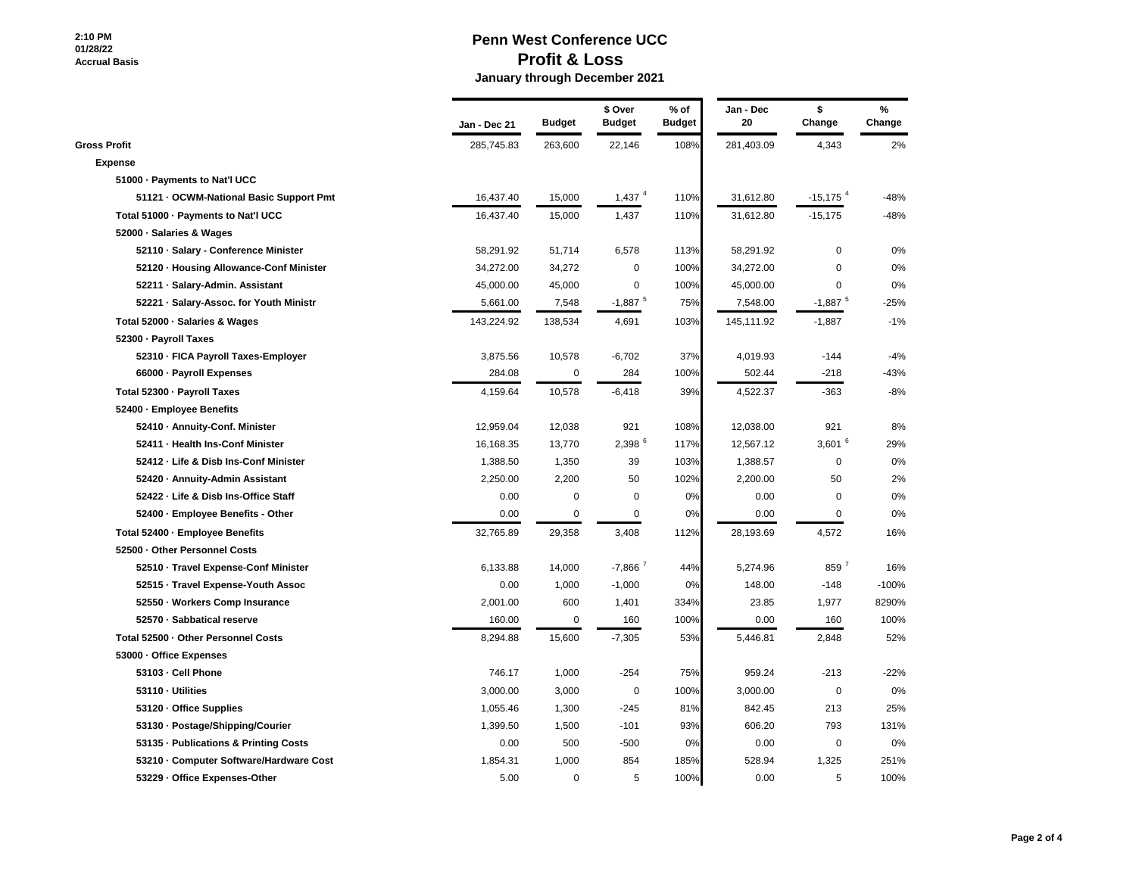|                                         | Jan - Dec 21 | <b>Budget</b> | \$ Over<br><b>Budget</b> | $%$ of<br><b>Budget</b> | Jan - Dec<br>20 | \$<br>Change           | $\%$<br>Change |
|-----------------------------------------|--------------|---------------|--------------------------|-------------------------|-----------------|------------------------|----------------|
| <b>Gross Profit</b>                     | 285,745.83   | 263,600       | 22,146                   | 108%                    | 281,403.09      | 4,343                  | 2%             |
| <b>Expense</b>                          |              |               |                          |                         |                 |                        |                |
| 51000 - Payments to Nat'l UCC           |              |               |                          |                         |                 |                        |                |
| 51121 OCWM-National Basic Support Pmt   | 16,437.40    | 15,000        | $1,437$ <sup>4</sup>     | 110%                    | 31,612.80       | $-15,175$ <sup>4</sup> | $-48%$         |
| Total 51000 - Payments to Nat'l UCC     | 16,437.40    | 15,000        | 1,437                    | 110%                    | 31,612.80       | $-15,175$              | -48%           |
| 52000 Salaries & Wages                  |              |               |                          |                         |                 |                        |                |
| 52110 · Salary - Conference Minister    | 58,291.92    | 51,714        | 6,578                    | 113%                    | 58,291.92       | $\pmb{0}$              | 0%             |
| 52120 - Housing Allowance-Conf Minister | 34,272.00    | 34,272        | 0                        | 100%                    | 34,272.00       | $\Omega$               | $0\%$          |
| 52211 · Salary-Admin. Assistant         | 45,000.00    | 45,000        | 0                        | 100%                    | 45,000.00       | $\mathbf 0$            | 0%             |
| 52221 · Salary-Assoc. for Youth Ministr | 5,661.00     | 7,548         | $-1,887$ <sup>5</sup>    | 75%                     | 7,548.00        | $-1,887$ <sup>5</sup>  | $-25%$         |
| Total 52000 - Salaries & Wages          | 143,224.92   | 138,534       | 4,691                    | 103%                    | 145,111.92      | $-1,887$               | $-1%$          |
| 52300 - Payroll Taxes                   |              |               |                          |                         |                 |                        |                |
| 52310 - FICA Payroll Taxes-Employer     | 3,875.56     | 10,578        | $-6,702$                 | 37%                     | 4,019.93        | $-144$                 | $-4%$          |
| 66000 - Payroll Expenses                | 284.08       | $\mathsf 0$   | 284                      | 100%                    | 502.44          | $-218$                 | $-43%$         |
| Total 52300 - Payroll Taxes             | 4,159.64     | 10,578        | $-6,418$                 | 39%                     | 4,522.37        | $-363$                 | $-8%$          |
| 52400 - Employee Benefits               |              |               |                          |                         |                 |                        |                |
| 52410 - Annuity-Conf. Minister          | 12,959.04    | 12,038        | 921                      | 108%                    | 12,038.00       | 921                    | 8%             |
| 52411 - Health Ins-Conf Minister        | 16,168.35    | 13,770        | 2,398 6                  | 117%                    | 12,567.12       | $3,601$ <sup>6</sup>   | 29%            |
| 52412 - Life & Disb Ins-Conf Minister   | 1,388.50     | 1,350         | 39                       | 103%                    | 1,388.57        | $\pmb{0}$              | 0%             |
| 52420 - Annuity-Admin Assistant         | 2,250.00     | 2,200         | 50                       | 102%                    | 2,200.00        | 50                     | 2%             |
| 52422 - Life & Disb Ins-Office Staff    | 0.00         | $\mathsf 0$   | 0                        | 0%                      | 0.00            | $\pmb{0}$              | 0%             |
| 52400 - Employee Benefits - Other       | 0.00         | $\mathbf 0$   | $\mathbf 0$              | 0%                      | 0.00            | $\Omega$               | 0%             |
| Total 52400 - Employee Benefits         | 32,765.89    | 29,358        | 3,408                    | 112%                    | 28,193.69       | 4,572                  | 16%            |
| 52500 Other Personnel Costs             |              |               |                          |                         |                 |                        |                |
| 52510 - Travel Expense-Conf Minister    | 6,133.88     | 14,000        | $-7,866$ <sup>7</sup>    | 44%                     | 5,274.96        | 859 7                  | 16%            |
| 52515 · Travel Expense-Youth Assoc      | 0.00         | 1,000         | $-1,000$                 | 0%                      | 148.00          | $-148$                 | $-100%$        |
| 52550 · Workers Comp Insurance          | 2,001.00     | 600           | 1,401                    | 334%                    | 23.85           | 1,977                  | 8290%          |
| 52570 · Sabbatical reserve              | 160.00       | $\mathbf 0$   | 160                      | 100%                    | 0.00            | 160                    | 100%           |
| Total 52500 - Other Personnel Costs     | 8,294.88     | 15,600        | $-7,305$                 | 53%                     | 5,446.81        | 2,848                  | 52%            |
| 53000 - Office Expenses                 |              |               |                          |                         |                 |                        |                |
| 53103 Cell Phone                        | 746.17       | 1,000         | $-254$                   | 75%                     | 959.24          | $-213$                 | $-22%$         |
| 53110 · Utilities                       | 3,000.00     | 3,000         | 0                        | 100%                    | 3,000.00        | 0                      | 0%             |
| 53120 - Office Supplies                 | 1,055.46     | 1,300         | $-245$                   | 81%                     | 842.45          | 213                    | 25%            |
| 53130 - Postage/Shipping/Courier        | 1,399.50     | 1,500         | $-101$                   | 93%                     | 606.20          | 793                    | 131%           |
| 53135 - Publications & Printing Costs   | 0.00         | 500           | -500                     | 0%                      | 0.00            | 0                      | 0%             |
| 53210 Computer Software/Hardware Cost   | 1,854.31     | 1,000         | 854                      | 185%                    | 528.94          | 1,325                  | 251%           |
| 53229 Office Expenses-Other             | 5.00         | $\Omega$      | 5                        | 100%                    | 0.00            | 5                      | 100%           |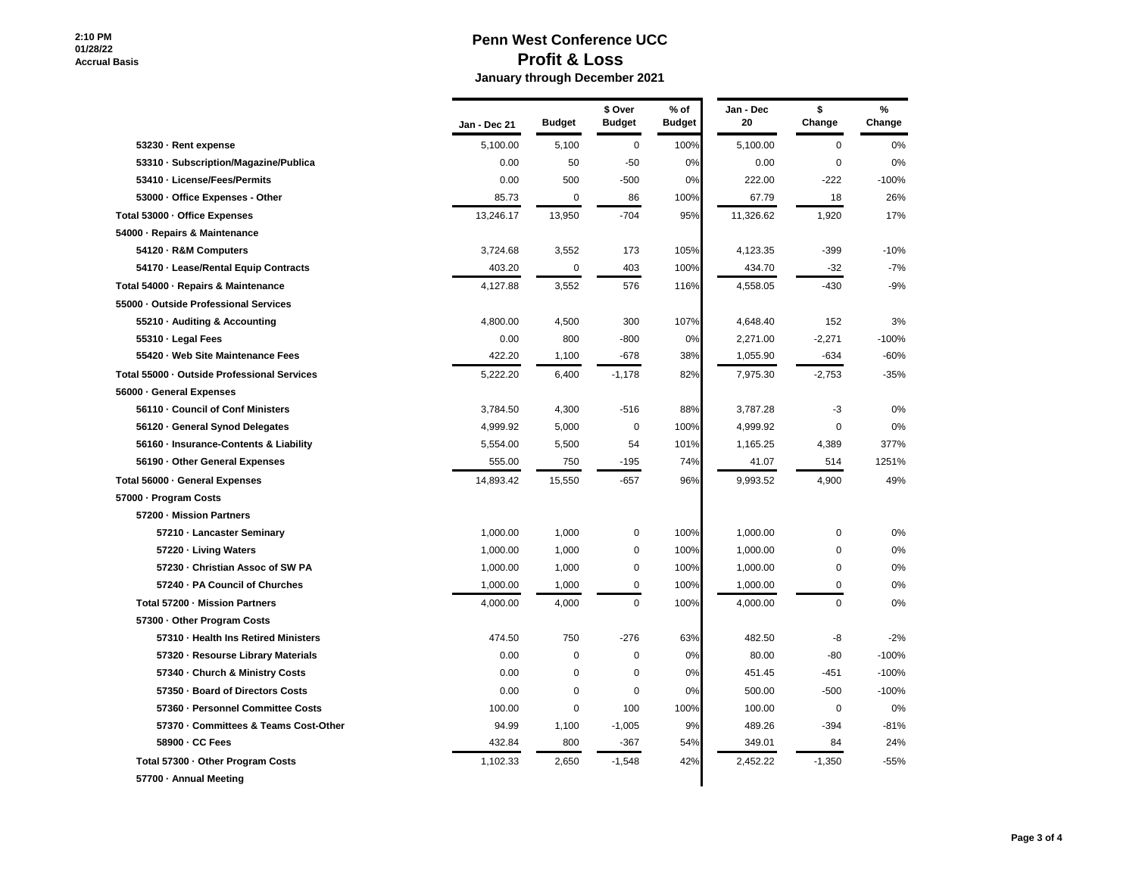|                                           | Jan - Dec 21 | <b>Budget</b> | \$ Over<br><b>Budget</b> | $%$ of<br><b>Budget</b> | Jan - Dec<br>20 | \$<br>Change | $\%$<br>Change |
|-------------------------------------------|--------------|---------------|--------------------------|-------------------------|-----------------|--------------|----------------|
| 53230 - Rent expense                      | 5,100.00     | 5,100         | 0                        | 100%                    | 5,100.00        | $\mathbf 0$  | 0%             |
| 53310 Subscription/Magazine/Publica       | 0.00         | 50            | $-50$                    | 0%                      | 0.00            | 0            | 0%             |
| 53410 - License/Fees/Permits              | 0.00         | 500           | $-500$                   | 0%                      | 222.00          | $-222$       | $-100%$        |
| 53000 - Office Expenses - Other           | 85.73        | $\mathbf 0$   | 86                       | 100%                    | 67.79           | 18           | 26%            |
| Total 53000 - Office Expenses             | 13,246.17    | 13,950        | $-704$                   | 95%                     | 11,326.62       | 1,920        | 17%            |
| 54000 - Repairs & Maintenance             |              |               |                          |                         |                 |              |                |
| 54120 - R&M Computers                     | 3,724.68     | 3,552         | 173                      | 105%                    | 4,123.35        | $-399$       | $-10%$         |
| 54170 - Lease/Rental Equip Contracts      | 403.20       | 0             | 403                      | 100%                    | 434.70          | $-32$        | $-7%$          |
| Total 54000 - Repairs & Maintenance       | 4,127.88     | 3,552         | 576                      | 116%                    | 4,558.05        | $-430$       | $-9%$          |
| 55000 Outside Professional Services       |              |               |                          |                         |                 |              |                |
| 55210 - Auditing & Accounting             | 4,800.00     | 4,500         | 300                      | 107%                    | 4,648.40        | 152          | 3%             |
| 55310 · Legal Fees                        | 0.00         | 800           | $-800$                   | 0%                      | 2,271.00        | $-2,271$     | $-100%$        |
| 55420 · Web Site Maintenance Fees         | 422.20       | 1,100         | $-678$                   | 38%                     | 1,055.90        | $-634$       | $-60%$         |
| Total 55000 Outside Professional Services | 5,222.20     | 6,400         | $-1,178$                 | 82%                     | 7,975.30        | $-2,753$     | $-35%$         |
| 56000 General Expenses                    |              |               |                          |                         |                 |              |                |
| 56110 - Council of Conf Ministers         | 3,784.50     | 4,300         | $-516$                   | 88%                     | 3,787.28        | -3           | 0%             |
| 56120 General Synod Delegates             | 4,999.92     | 5,000         | 0                        | 100%                    | 4,999.92        | 0            | 0%             |
| 56160 - Insurance-Contents & Liability    | 5,554.00     | 5,500         | 54                       | 101%                    | 1,165.25        | 4,389        | 377%           |
| 56190 Other General Expenses              | 555.00       | 750           | $-195$                   | 74%                     | 41.07           | 514          | 1251%          |
| Total 56000 - General Expenses            | 14,893.42    | 15,550        | $-657$                   | 96%                     | 9,993.52        | 4,900        | 49%            |
| 57000 - Program Costs                     |              |               |                          |                         |                 |              |                |
| 57200 Mission Partners                    |              |               |                          |                         |                 |              |                |
| 57210 - Lancaster Seminary                | 1,000.00     | 1,000         | 0                        | 100%                    | 1,000.00        | 0            | 0%             |
| 57220 - Living Waters                     | 1,000.00     | 1,000         | 0                        | 100%                    | 1,000.00        | 0            | 0%             |
| 57230 - Christian Assoc of SW PA          | 1,000.00     | 1,000         | 0                        | 100%                    | 1,000.00        | 0            | 0%             |
| 57240 - PA Council of Churches            | 1,000.00     | 1,000         | 0                        | 100%                    | 1,000.00        | 0            | 0%             |
| Total 57200 - Mission Partners            | 4,000.00     | 4,000         | $\Omega$                 | 100%                    | 4,000.00        | 0            | 0%             |
| 57300 - Other Program Costs               |              |               |                          |                         |                 |              |                |
| 57310 - Health Ins Retired Ministers      | 474.50       | 750           | $-276$                   | 63%                     | 482.50          | -8           | $-2%$          |
| 57320 - Resourse Library Materials        | 0.00         | $\mathbf 0$   | 0                        | 0%                      | 80.00           | -80          | $-100%$        |
| 57340 - Church & Ministry Costs           | 0.00         | $\mathbf 0$   | 0                        | 0%                      | 451.45          | $-451$       | $-100%$        |
| 57350 - Board of Directors Costs          | 0.00         | $\mathbf 0$   | 0                        | 0%                      | 500.00          | $-500$       | $-100%$        |
| 57360 - Personnel Committee Costs         | 100.00       | $\mathbf 0$   | 100                      | 100%                    | 100.00          | $\mathbf 0$  | 0%             |
| 57370 - Committees & Teams Cost-Other     | 94.99        | 1,100         | $-1,005$                 | 9%                      | 489.26          | $-394$       | $-81%$         |
| 58900 - CC Fees                           | 432.84       | 800           | $-367$                   | 54%                     | 349.01          | 84           | 24%            |
| Total 57300 - Other Program Costs         | 1,102.33     | 2,650         | $-1,548$                 | 42%                     | 2,452.22        | $-1,350$     | -55%           |
| 57700 - Annual Meeting                    |              |               |                          |                         |                 |              |                |